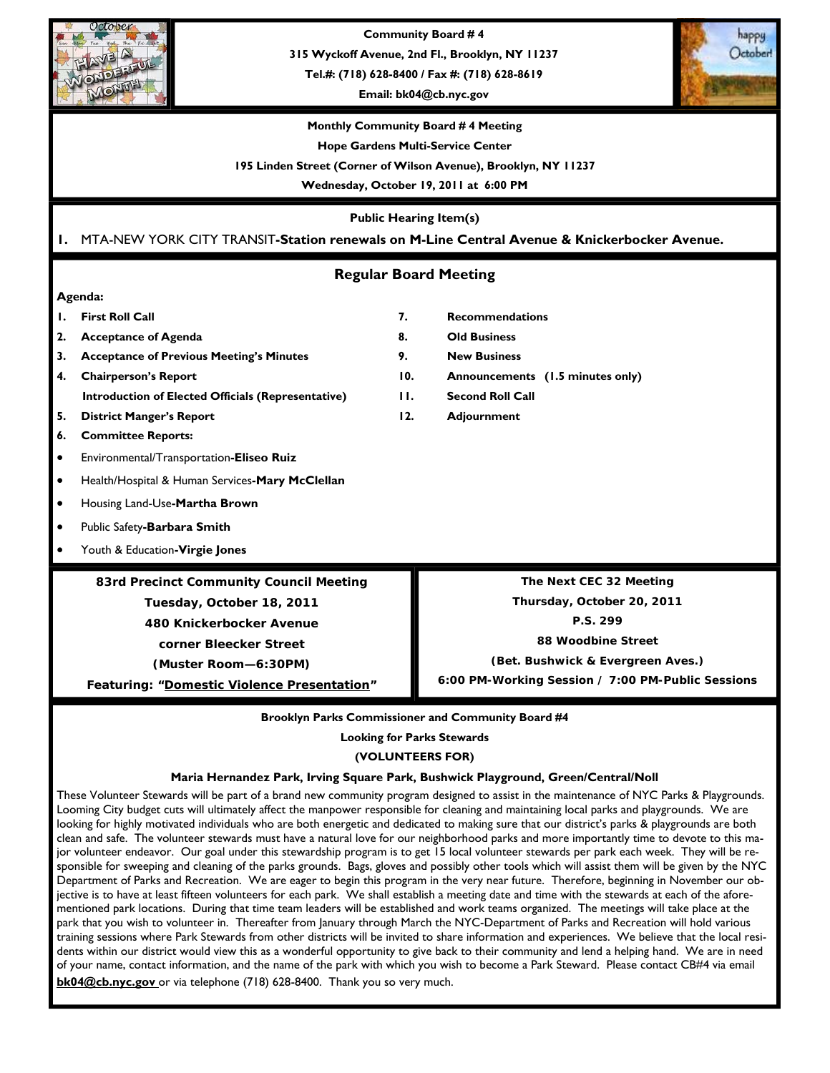

**Community Board # 4** 

**315 Wyckoff Avenue, 2nd Fl., Brooklyn, NY 11237** 

**Tel.#: (718) 628-8400 / Fax #: (718) 628-8619** 

**Email: bk04@cb.nyc.gov** 



#### **Monthly Community Board # 4 Meeting**

**Hope Gardens Multi-Service Center** 

**195 Linden Street (Corner of Wilson Avenue), Brooklyn, NY 11237** 

**Wednesday, October 19, 2011 at 6:00 PM** 

**Public Hearing Item(s)** 

## **1.** MTA-NEW YORK CITY TRANSIT**-Station renewals on M-Line Central Avenue & Knickerbocker Avenue.**

## **Regular Board Meeting**

#### **Agenda:**

- 
- **2. Acceptance of Agenda 8. Old Business**
- **3. Acceptance of Previous Meeting's Minutes 9. New Business**
- **4. Chairperson's Report 10. Announcements (1.5 minutes only) Introduction of Elected Officials (Representative) 11. Second Roll Call**
- **5.** District Manger's Report **12.** Adjournment
- **6. Committee Reports:**
- Environmental/Transportation**-Eliseo Ruiz**
- Health/Hospital & Human Services**-Mary McClellan**
- Housing Land-Use**-Martha Brown**
- Public Safety**-Barbara Smith**
- Youth & Education**-Virgie Jones**

**83rd Precinct Community Council Meeting** 

**Tuesday, October 18, 2011** 

**480 Knickerbocker Avenue** 

**corner Bleecker Street (Muster Room—6:30PM)** 

**Featuring: "Domestic Violence Presentation"** 

- **1. First Roll Call 7. Recommendations** 
	-
	-
	-
	-
	-

**The Next CEC 32 Meeting Thursday, October 20, 2011 P.S. 299** 

**88 Woodbine Street** 

**(Bet. Bushwick & Evergreen Aves.)** 

**6:00 PM-Working Session / 7:00 PM-Public Sessions** 

#### **Brooklyn Parks Commissioner and Community Board #4**

**Looking for Parks Stewards** 

**(VOLUNTEERS FOR)** 

#### **Maria Hernandez Park, Irving Square Park, Bushwick Playground, Green/Central/Noll**

These Volunteer Stewards will be part of a brand new community program designed to assist in the maintenance of NYC Parks & Playgrounds. Looming City budget cuts will ultimately affect the manpower responsible for cleaning and maintaining local parks and playgrounds. We are looking for highly motivated individuals who are both energetic and dedicated to making sure that our district's parks & playgrounds are both clean and safe. The volunteer stewards must have a natural love for our neighborhood parks and more importantly time to devote to this major volunteer endeavor. Our goal under this stewardship program is to get 15 local volunteer stewards per park each week. They will be responsible for sweeping and cleaning of the parks grounds. Bags, gloves and possibly other tools which will assist them will be given by the NYC Department of Parks and Recreation. We are eager to begin this program in the very near future. Therefore, beginning in November our objective is to have at least fifteen volunteers for each park. We shall establish a meeting date and time with the stewards at each of the aforementioned park locations. During that time team leaders will be established and work teams organized. The meetings will take place at the park that you wish to volunteer in. Thereafter from January through March the NYC-Department of Parks and Recreation will hold various training sessions where Park Stewards from other districts will be invited to share information and experiences. We believe that the local residents within our district would view this as a wonderful opportunity to give back to their community and lend a helping hand. We are in need of your name, contact information, and the name of the park with which you wish to become a Park Steward. Please contact CB#4 via email **bk04@cb.nyc.gov** or via telephone (718) 628-8400. Thank you so very much.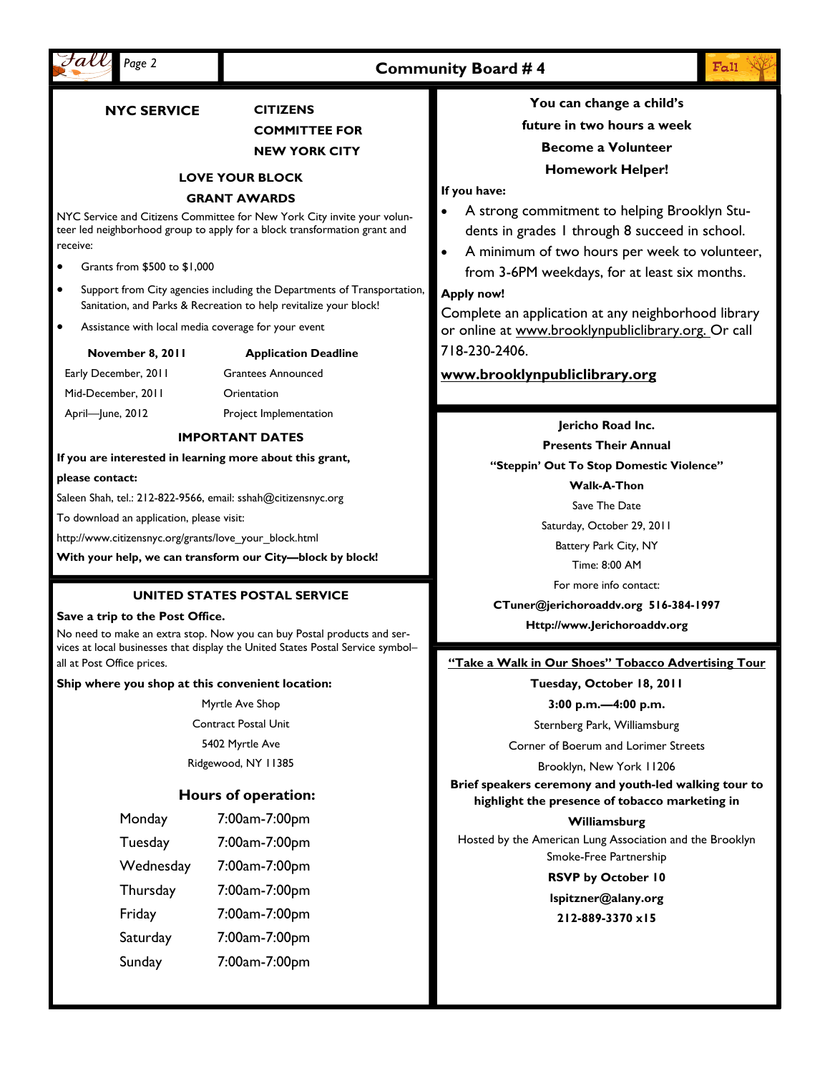

## **Community Board # 4**

**NYC SERVICE CITIZENS** 

## **COMMITTEE FOR**

#### **NEW YORK CITY**

#### **LOVE YOUR BLOCK**

#### **GRANT AWARDS**

NYC Service and Citizens Committee for New York City invite your volunteer led neighborhood group to apply for a block transformation grant and receive:

- Grants from \$500 to \$1,000
- Support from City agencies including the Departments of Transportation, Sanitation, and Parks & Recreation to help revitalize your block!
- Assistance with local media coverage for your event

| November 8, 2011 |  |  |
|------------------|--|--|
|                  |  |  |

## **Application Deadline**

Early December, 2011 Mid-December, 2011 April—June, 2012 Grantees Announced Orientation

Project Implementation

#### **IMPORTANT DATES**

**If you are interested in learning more about this grant,** 

#### **please contact:**

Saleen Shah, tel.: 212-822-9566, email: sshah@citizensnyc.org

To download an application, please visit:

http://www.citizensnyc.org/grants/love\_your\_block.html

**With your help, we can transform our City—block by block!** 

#### **UNITED STATES POSTAL SERVICE**

#### **Save a trip to the Post Office.**

No need to make an extra stop. Now you can buy Postal products and services at local businesses that display the United States Postal Service symbol– all at Post Office prices.

#### **Ship where you shop at this convenient location:**

Myrtle Ave Shop Contract Postal Unit 5402 Myrtle Ave Ridgewood, NY 11385

## **Hours of operation:**

| Monday    | 7:00am-7:00pm |  |  |
|-----------|---------------|--|--|
| Tuesday   | 7:00am-7:00pm |  |  |
| Wednesday | 7:00am-7:00pm |  |  |
| Thursday  | 7:00am-7:00pm |  |  |
| Friday    | 7:00am-7:00pm |  |  |
| Saturday  | 7:00am-7:00pm |  |  |
| Sunday    | 7:00am-7:00pm |  |  |

## **You can change a child's future in two hours a week Become a Volunteer**

**Homework Helper!** 

**If you have:** 

- A strong commitment to helping Brooklyn Students in grades 1 through 8 succeed in school.
- A minimum of two hours per week to volunteer, from 3-6PM weekdays, for at least six months.

#### **Apply now!**

Complete an application at any neighborhood library or online at www.brooklynpubliclibrary.org. Or call 718-230-2406.

## **www.brooklynpubliclibrary.org**

**Jericho Road Inc.** 

**Presents Their Annual** 

**"Steppin' Out To Stop Domestic Violence"** 

**Walk-A-Thon** 

Save The Date

Saturday, October 29, 2011

Battery Park City, NY

Time: 8:00 AM

For more info contact:

**CTuner@jerichoroaddv.org 516-384-1997** 

**Http://www.Jerichoroaddv.org** 

#### **"Take a Walk in Our Shoes" Tobacco Advertising Tour**

**Tuesday, October 18, 2011 3:00 p.m.—4:00 p.m.** 

Sternberg Park, Williamsburg

Corner of Boerum and Lorimer Streets

Brooklyn, New York 11206

**Brief speakers ceremony and youth-led walking tour to highlight the presence of tobacco marketing in** 

**Williamsburg**  Hosted by the American Lung Association and the Brooklyn Smoke-Free Partnership

**RSVP by October 10** 

**lspitzner@alany.org 212-889-3370 x15** 

 $E_{\alpha}$ 11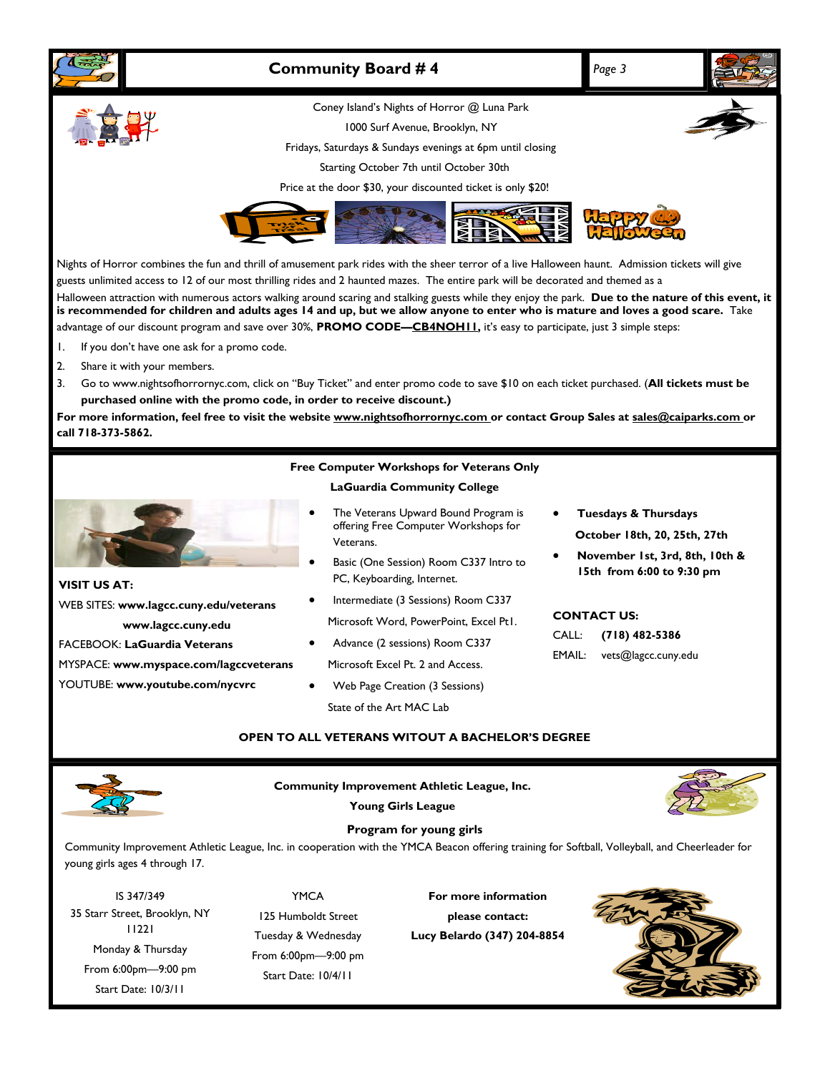

11221 Monday & Thursday From 6:00pm—9:00 pm Start Date: 10/3/11

Tuesday & Wednesday From 6:00pm—9:00 pm Start Date: 10/4/11

**Lucy Belardo (347) 204-8854**